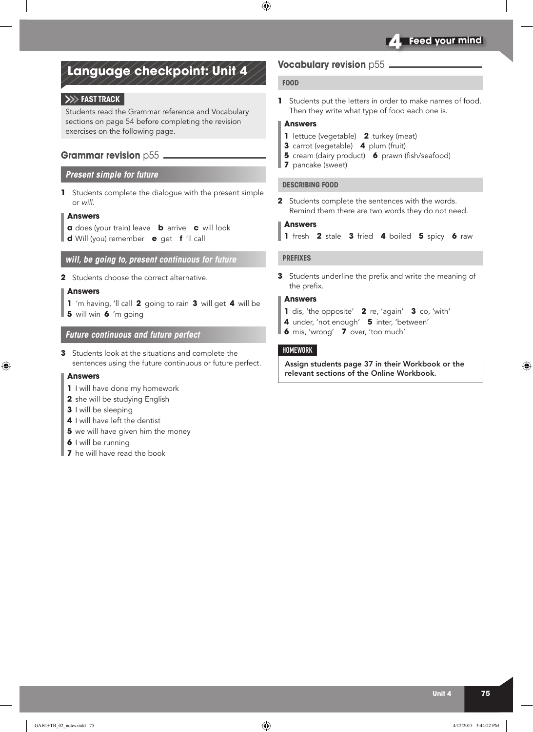# **Language checkpoint: Unit 4**

### **Fast track**

Students read the Grammar reference and Vocabulary sections on page 54 before completing the revision exercises on the following page.

### **Grammar revision p55.**

### *Present simple for future*

**1** Students complete the dialogue with the present simple or *will.*

### **Answers**

- **a** does (your train) leave **b** arrive **c** will look
- **d** Will (you) remember **e** get **f** 'll call

### *will, be going to, present continuous for future*

**2** Students choose the correct alternative.

#### **Answers**

**1** 'm having, 'll call **2** going to rain **3** will get **4** will be **5** will win **6** 'm going

### *Future continuous and future perfect*

**3** Students look at the situations and complete the sentences using the future continuous or future perfect.

### **Answers**

- **1** I will have done my homework
- **2** she will be studying English
- **3** I will be sleeping
- **4** I will have left the dentist
- **5** we will have given him the money
- **6** I will be running
- **7** he will have read the book

### **Vocabulary revision** p55

#### **FOOD**

**1** Students put the letters in order to make names of food. Then they write what type of food each one is.

### **Answers**

- **1** lettuce (vegetable) **2** turkey (meat)
- **3** carrot (vegetable) **4** plum (fruit)
- **5** cream (dairy product) **6** prawn (fish/seafood)
- **7** pancake (sweet)

### **DESCRIBING FOOD**

**2** Students complete the sentences with the words. Remind them there are two words they do not need.

### **Answers**

**1** fresh **2** stale **3** fried **4** boiled **5** spicy **6** raw

#### **PREFIXES**

**3** Students underline the prefix and write the meaning of the prefix.

### **Answers**

- **1** dis, 'the opposite' **2** re, 'again' **3** co, 'with'
- **4** under, 'not enough' **5** inter, 'between'
- **6** mis, 'wrong' **7** over, 'too much'

### **HOMEWORK**

Assign students page 37 in their Workbook or the relevant sections of the Online Workbook.